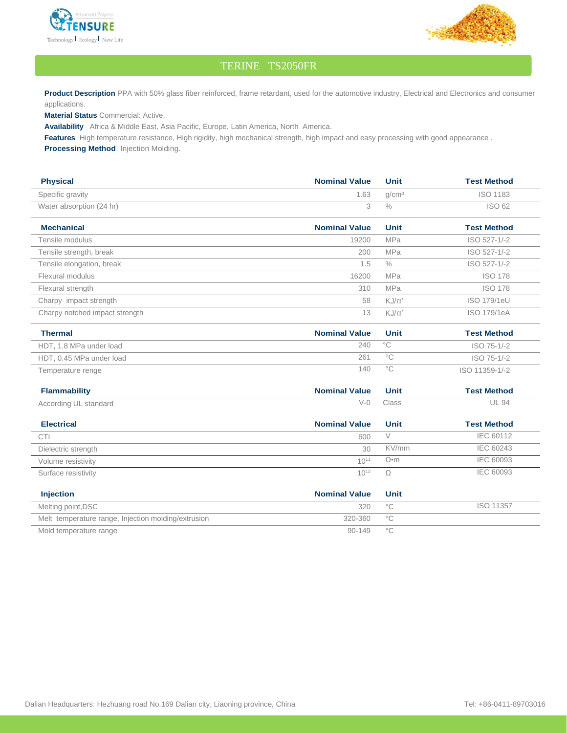



## TERINE TS2050FR

Product Description PPA with 50% glass fiber reinforced, frame retardant, used for the automotive industry, Electrical and Electronics and consumer applications.

**Material Status** Commercial: Active.

**Availability** Africa & Middle East, Asia Pacific, Europe, Latin America, North America.

**Features** High temperature resistance, High rigidity, high mechanical strength, high impact and easy processing with good appearance .

**Processing Method** Injection Molding.

| <b>Physical</b>                | <b>Nominal Value</b> | Unit              | <b>Test Method</b> |
|--------------------------------|----------------------|-------------------|--------------------|
| Specific gravity               | 1.63                 | q/cm <sup>3</sup> | <b>ISO 1183</b>    |
| Water absorption (24 hr)       | 3                    | $\frac{0}{0}$     | ISO 62             |
| <b>Mechanical</b>              | <b>Nominal Value</b> | <b>Unit</b>       | <b>Test Method</b> |
| Tensile modulus                | 19200                | <b>MPa</b>        | ISO 527-1/-2       |
| Tensile strength, break        | 200                  | MPa               | ISO 527-1/-2       |
| Tensile elongation, break      | 1.5                  | $\%$              | ISO 527-1/-2       |
| Flexural modulus               | 16200                | <b>MPa</b>        | <b>ISO 178</b>     |
| Flexural strength              | 310                  | <b>MPa</b>        | <b>ISO 178</b>     |
| Charpy impact strength         | 58                   | $KJ/m^2$          | <b>ISO 179/1eU</b> |
| Charpy notched impact strength | 13                   | KJ/m <sup>2</sup> | <b>ISO 179/1eA</b> |
| <b>Thermal</b>                 | <b>Nominal Value</b> | <b>Unit</b>       | <b>Test Method</b> |
| HDT, 1.8 MPa under load        | 240                  | $^{\circ}$ C      | ISO 75-1/-2        |
| HDT, 0.45 MPa under load       | 261                  | $\overline{C}$    | ISO 75-1/-2        |
| Temperature renge              | 140                  | $^{\circ}$ C      | ISO 11359-1/-2     |
| <b>Flammability</b>            | <b>Nominal Value</b> | <b>Unit</b>       | <b>Test Method</b> |
| According UL standard          | $V-0$                | Class             | <b>UL 94</b>       |
| <b>Electrical</b>              | <b>Nominal Value</b> | <b>Unit</b>       | <b>Test Method</b> |
| <b>CTI</b>                     | 600                  | V                 | IEC 60112          |
| Dielectric strenath            | 30                   | KV/mm             | <b>IEC 60243</b>   |

| PICICATIO STETIVIT  | - JU             | .   | $1 - 0$ $0 - 10$ |
|---------------------|------------------|-----|------------------|
| Volume resistivity  | $10^{11}$        | Ω•m | IEC 60093        |
| Surface resistivity | 10 <sup>12</sup> | ∸∸  | <b>IEC 60093</b> |
|                     |                  |     |                  |

| <b>Injection</b>                                    | <b>Nominal Value</b> | Unit |           |
|-----------------------------------------------------|----------------------|------|-----------|
| Melting point, DSC                                  | 320 °C               |      | ISO 11357 |
| Melt temperature range, Injection molding/extrusion | 320-360 °C           |      |           |
| Mold temperature range                              | 90-149 $\degree$ C   |      |           |